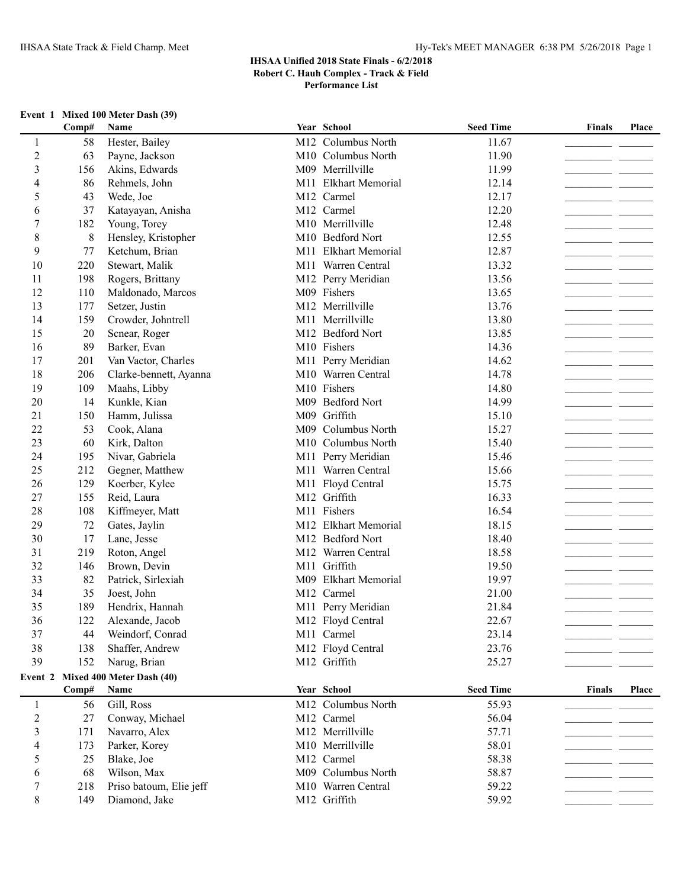# **Event 1 Mixed 100 Meter Dash (39)**

|                  | Comp# | Name                              |     | Year School                    | <b>Seed Time</b> | <b>Finals</b> | Place |
|------------------|-------|-----------------------------------|-----|--------------------------------|------------------|---------------|-------|
| 1                | 58    | Hester, Bailey                    |     | M <sub>12</sub> Columbus North | 11.67            |               |       |
| $\overline{2}$   | 63    | Payne, Jackson                    |     | M10 Columbus North             | 11.90            |               |       |
| 3                | 156   | Akins, Edwards                    |     | M09 Merrillville               | 11.99            |               |       |
| 4                | 86    | Rehmels, John                     |     | M11 Elkhart Memorial           | 12.14            |               |       |
| 5                | 43    | Wede, Joe                         |     | M12 Carmel                     | 12.17            |               |       |
| 6                | 37    | Katayayan, Anisha                 |     | M12 Carmel                     | 12.20            |               |       |
| $\boldsymbol{7}$ | 182   | Young, Torey                      |     | M10 Merrillville               | 12.48            |               |       |
| $\,$ 8 $\,$      | 8     | Hensley, Kristopher               |     | M10 Bedford Nort               | 12.55            |               |       |
| 9                | 77    | Ketchum, Brian                    |     | M11 Elkhart Memorial           | 12.87            |               |       |
| 10               | 220   | Stewart, Malik                    |     | M11 Warren Central             | 13.32            |               |       |
| 11               | 198   | Rogers, Brittany                  |     | M12 Perry Meridian             | 13.56            |               |       |
| 12               | 110   | Maldonado, Marcos                 |     | M09 Fishers                    | 13.65            |               |       |
| 13               | 177   | Setzer, Justin                    |     | M12 Merrillville               | 13.76            |               |       |
| 14               | 159   | Crowder, Johntrell                |     | M11 Merrillville               | 13.80            |               |       |
| 15               | 20    | Scnear, Roger                     |     | M12 Bedford Nort               | 13.85            |               |       |
| 16               | 89    | Barker, Evan                      |     | M10 Fishers                    | 14.36            |               |       |
| 17               | 201   | Van Vactor, Charles               |     | M11 Perry Meridian             | 14.62            |               |       |
| 18               | 206   | Clarke-bennett, Ayanna            |     | M10 Warren Central             | 14.78            |               |       |
| 19               | 109   | Maahs, Libby                      |     | M10 Fishers                    | 14.80            |               |       |
| 20               | 14    | Kunkle, Kian                      |     | M09 Bedford Nort               | 14.99            |               |       |
| 21               | 150   | Hamm, Julissa                     | M09 | Griffith                       | 15.10            |               |       |
| 22               | 53    | Cook, Alana                       | M09 | Columbus North                 | 15.27            |               |       |
| 23               | 60    | Kirk, Dalton                      |     | M10 Columbus North             | 15.40            |               |       |
| 24               | 195   | Nivar, Gabriela                   |     | M11 Perry Meridian             | 15.46            |               |       |
| 25               | 212   | Gegner, Matthew                   |     | M11 Warren Central             | 15.66            |               |       |
| 26               | 129   | Koerber, Kylee                    |     | M11 Floyd Central              | 15.75            |               |       |
| 27               | 155   | Reid, Laura                       |     | M12 Griffith                   | 16.33            |               |       |
| 28               | 108   | Kiffmeyer, Matt                   |     | M11 Fishers                    | 16.54            |               |       |
| 29               | 72    | Gates, Jaylin                     |     | M12 Elkhart Memorial           | 18.15            |               |       |
| 30               | 17    | Lane, Jesse                       |     | M12 Bedford Nort               | 18.40            |               |       |
| 31               | 219   | Roton, Angel                      |     | M12 Warren Central             | 18.58            |               |       |
| 32               | 146   | Brown, Devin                      |     | M11 Griffith                   | 19.50            |               |       |
| 33               | 82    | Patrick, Sirlexiah                |     | M09 Elkhart Memorial           | 19.97            |               |       |
| 34               | 35    | Joest, John                       |     | M12 Carmel                     | 21.00            |               |       |
| 35               | 189   | Hendrix, Hannah                   |     | M11 Perry Meridian             | 21.84            |               |       |
| 36               | 122   | Alexande, Jacob                   |     | M12 Floyd Central              | 22.67            |               |       |
| 37               | 44    | Weindorf, Conrad                  |     | M11 Carmel                     | 23.14            |               |       |
| 38               | 138   | Shaffer, Andrew                   |     | M12 Floyd Central              | 23.76            |               |       |
| 39               | 152   | Narug, Brian                      |     | M12 Griffith                   | 25.27            |               |       |
|                  |       | Event 2 Mixed 400 Meter Dash (40) |     |                                |                  |               |       |
|                  | Comp# | Name                              |     | Year School                    | <b>Seed Time</b> | <b>Finals</b> | Place |
| 1                | 56    | Gill, Ross                        |     | M12 Columbus North             | 55.93            |               |       |
| $\overline{2}$   | 27    | Conway, Michael                   |     | M12 Carmel                     | 56.04            |               |       |
| 3                | 171   | Navarro, Alex                     |     | M12 Merrillville               | 57.71            |               |       |
| 4                | 173   | Parker, Korey                     |     | M10 Merrillville               | 58.01            |               |       |
| 5                | 25    | Blake, Joe                        |     | M12 Carmel                     | 58.38            |               |       |
| 6                | 68    | Wilson, Max                       |     | M09 Columbus North             | 58.87            |               |       |
| 7                | 218   | Priso batoum, Elie jeff           |     | M10 Warren Central             | 59.22            |               |       |
| 8                | 149   | Diamond, Jake                     |     | M12 Griffith                   | 59.92            |               |       |
|                  |       |                                   |     |                                |                  |               |       |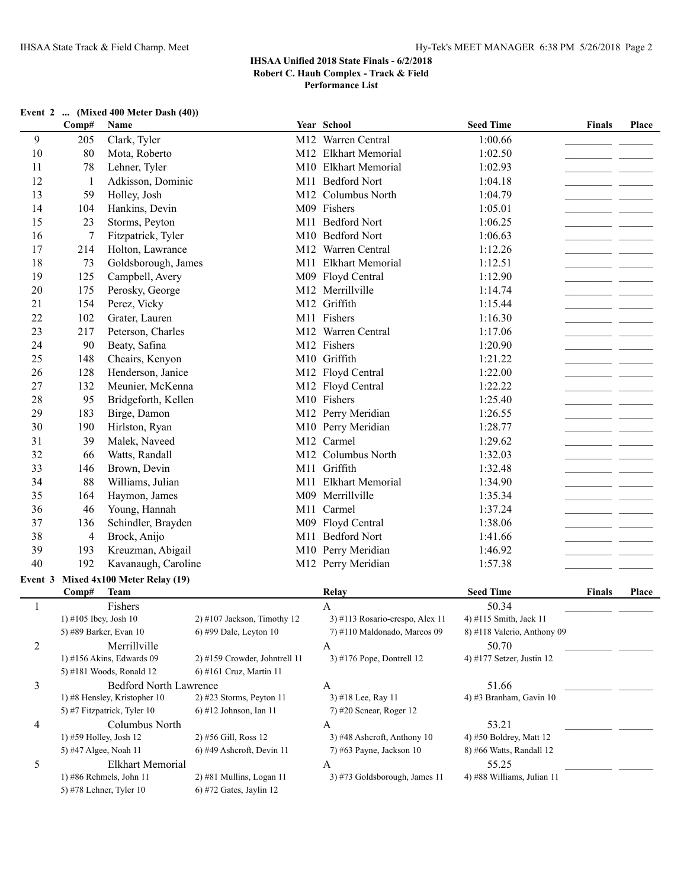| Event 2  (Mixed 400 Meter Dash (40)) |  |  |  |  |  |  |  |
|--------------------------------------|--|--|--|--|--|--|--|
|--------------------------------------|--|--|--|--|--|--|--|

|                | Comp#                  | Name                                               |                               | Year School                        | <b>Seed Time</b>                    | <b>Finals</b> | <b>Place</b> |
|----------------|------------------------|----------------------------------------------------|-------------------------------|------------------------------------|-------------------------------------|---------------|--------------|
| 9              | 205                    | Clark, Tyler                                       |                               | M12 Warren Central                 | 1:00.66                             |               |              |
| 10             | 80                     | Mota, Roberto                                      |                               | M12 Elkhart Memorial               | 1:02.50                             |               |              |
| 11             | 78                     | Lehner, Tyler                                      |                               | M10 Elkhart Memorial               | 1:02.93                             |               |              |
| 12             | $\mathbf{1}$           | Adkisson, Dominic                                  |                               | M11 Bedford Nort                   | 1:04.18                             |               |              |
| 13             | 59                     | Holley, Josh                                       |                               | M12 Columbus North                 | 1:04.79                             |               |              |
| 14             | 104                    | Hankins, Devin                                     |                               | M09 Fishers                        | 1:05.01                             |               |              |
| 15             | 23                     | Storms, Peyton                                     |                               | M11 Bedford Nort                   | 1:06.25                             |               |              |
| 16             | 7                      | Fitzpatrick, Tyler                                 |                               | M10 Bedford Nort                   | 1:06.63                             |               |              |
| 17             | 214                    | Holton, Lawrance                                   |                               | M12 Warren Central                 | 1:12.26                             |               |              |
| 18             | 73                     | Goldsborough, James                                |                               | M11 Elkhart Memorial               | 1:12.51                             |               |              |
| 19             | 125                    | Campbell, Avery                                    |                               | M09 Floyd Central                  | 1:12.90                             |               |              |
| 20             | 175                    | Perosky, George                                    |                               | M12 Merrillville                   | 1:14.74                             |               |              |
| 21             | 154                    | Perez, Vicky                                       |                               | M12 Griffith                       | 1:15.44                             |               |              |
| 22             | 102                    | Grater, Lauren                                     |                               | M11 Fishers                        | 1:16.30                             |               |              |
| 23             | 217                    | Peterson, Charles                                  |                               | M12 Warren Central                 | 1:17.06                             |               |              |
| 24             | 90                     | Beaty, Safina                                      |                               | M12 Fishers                        | 1:20.90                             |               |              |
| 25             | 148                    | Cheairs, Kenyon                                    |                               | M10 Griffith                       | 1:21.22                             |               |              |
| 26             | 128                    | Henderson, Janice                                  |                               | M12 Floyd Central                  | 1:22.00                             |               |              |
| 27             | 132                    | Meunier, McKenna                                   |                               | M12 Floyd Central                  | 1:22.22                             |               |              |
| 28             | 95                     | Bridgeforth, Kellen                                |                               | M10 Fishers                        | 1:25.40                             |               |              |
| 29             | 183                    | Birge, Damon                                       |                               | M12 Perry Meridian                 | 1:26.55                             |               |              |
| 30             | 190                    | Hirlston, Ryan                                     |                               | M10 Perry Meridian                 | 1:28.77                             |               |              |
| 31             | 39                     | Malek, Naveed                                      |                               | M12 Carmel                         | 1:29.62                             |               |              |
| 32             | 66                     | Watts, Randall                                     |                               | M12 Columbus North                 | 1:32.03                             |               |              |
| 33             | 146                    | Brown, Devin                                       |                               | M11 Griffith                       | 1:32.48                             |               |              |
| 34             | 88                     | Williams, Julian                                   |                               | M11 Elkhart Memorial               | 1:34.90                             |               |              |
| 35             | 164                    | Haymon, James                                      |                               | M09 Merrillville                   | 1:35.34                             |               |              |
| 36             | 46                     | Young, Hannah                                      |                               | M11 Carmel                         | 1:37.24                             |               |              |
| 37             | 136                    | Schindler, Brayden                                 |                               | M09 Floyd Central                  | 1:38.06                             |               | <b>1999</b>  |
| 38             | 4                      | Brock, Anijo                                       |                               | M11 Bedford Nort                   | 1:41.66                             |               |              |
| 39             | 193                    | Kreuzman, Abigail                                  |                               | M10 Perry Meridian                 | 1:46.92                             |               |              |
| 40             | 192                    | Kavanaugh, Caroline                                |                               | M12 Perry Meridian                 | 1:57.38                             |               |              |
| Event 3        |                        | Mixed 4x100 Meter Relay (19)                       |                               |                                    |                                     |               |              |
|                | Comp#                  | <b>Team</b>                                        |                               | Relay                              | <b>Seed Time</b>                    | <b>Finals</b> | Place        |
| $\mathbf{1}$   |                        | Fishers                                            |                               | $\mathbf{A}$                       | 50.34                               |               |              |
|                | 1) #105 Ibey, Josh 10  |                                                    | $2)$ #107 Jackson, Timothy 12 | 3) #113 Rosario-crespo, Alex 11    | 4) #115 Smith, Jack 11              |               |              |
|                |                        | 5) #89 Barker, Evan 10                             | 6) #99 Dale, Leyton 10        | 7) #110 Maldonado, Marcos 09       | 8) #118 Valerio, Anthony 09         |               |              |
| $\overline{c}$ |                        | Merrillville                                       |                               | $\mathbf{A}$                       | 50.70                               |               |              |
|                |                        | 1) #156 Akins, Edwards 09                          | 2) #159 Crowder, Johntrell 11 | 3) #176 Pope, Dontrell 12          | 4) #177 Setzer, Justin 12           |               |              |
|                |                        | 5) #181 Woods, Ronald 12                           | 6) #161 Cruz, Martin 11       |                                    |                                     |               |              |
| 3              |                        | <b>Bedford North Lawrence</b>                      |                               | $\mathbf{A}$                       | 51.66                               |               |              |
|                |                        | 1) #8 Hensley, Kristopher 10                       | $2)$ #23 Storms, Peyton 11    | 3) #18 Lee, Ray 11                 | 4) #3 Branham, Gavin 10             |               |              |
|                |                        | 5) #7 Fitzpatrick, Tyler 10                        | 6) #12 Johnson, Ian 11        | $7)$ #20 Scnear, Roger 12          |                                     |               |              |
| 4              |                        | Columbus North                                     |                               | A                                  | 53.21                               |               |              |
|                | 1) #59 Holley, Josh 12 |                                                    | 2) #56 Gill, Ross 12          | 3) #48 Ashcroft, Anthony 10        | 4) #50 Boldrey, Matt 12             |               |              |
|                | 5) #47 Algee, Noah 11  |                                                    | $6$ ) #49 Ashcroft, Devin 11  | 7) #63 Payne, Jackson 10           | 8) #66 Watts, Randall 12            |               |              |
| 5              |                        | <b>Elkhart Memorial</b><br>1) #86 Rehmels, John 11 | 2) #81 Mullins, Logan 11      | A<br>3) #73 Goldsborough, James 11 | 55.25<br>4) #88 Williams, Julian 11 |               |              |
|                |                        | 5) #78 Lehner, Tyler 10                            | $6)$ #72 Gates, Jaylin 12     |                                    |                                     |               |              |
|                |                        |                                                    |                               |                                    |                                     |               |              |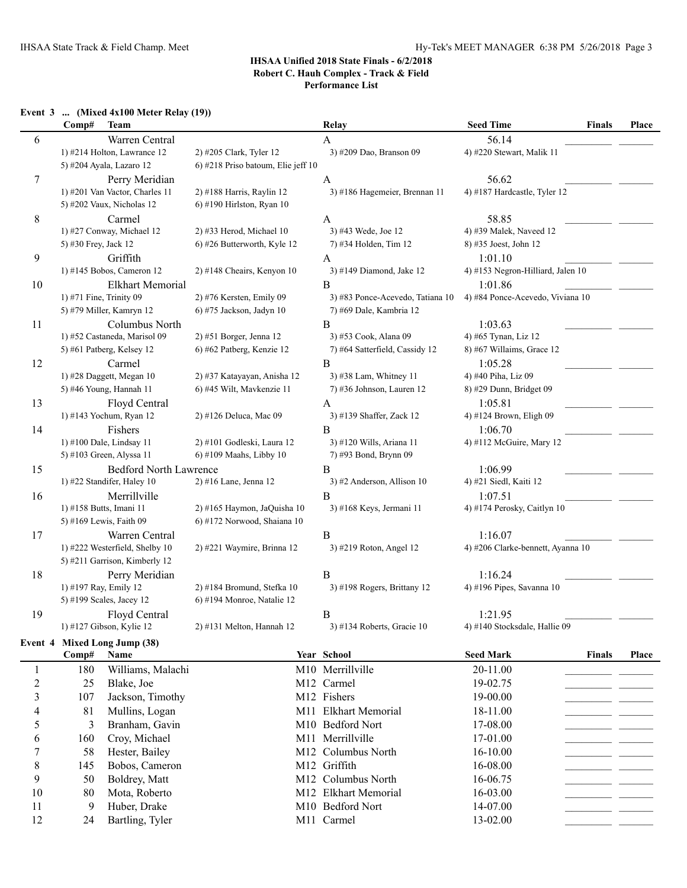# **Event 3 ... (Mixed 4x100 Meter Relay (19))**

|                | Comp#                   | <b>Team</b>                    |                                    | Relay                            | <b>Seed Time</b><br><b>Finals</b> | Place |
|----------------|-------------------------|--------------------------------|------------------------------------|----------------------------------|-----------------------------------|-------|
| 6              |                         | Warren Central                 |                                    | A                                | 56.14                             |       |
|                |                         | 1) #214 Holton, Lawrance 12    | 2) #205 Clark, Tyler 12            | 3) #209 Dao, Branson 09          | 4) #220 Stewart, Malik 11         |       |
|                |                         | 5) #204 Ayala, Lazaro 12       | 6) #218 Priso batoum, Elie jeff 10 |                                  |                                   |       |
| 7              |                         | Perry Meridian                 |                                    | A                                | 56.62                             |       |
|                |                         | 1) #201 Van Vactor, Charles 11 | 2) #188 Harris, Raylin 12          | 3) #186 Hagemeier, Brennan 11    | 4) #187 Hardcastle, Tyler 12      |       |
|                |                         | 5) #202 Vaux, Nicholas 12      | 6) #190 Hirlston, Ryan 10          |                                  |                                   |       |
| 8              |                         | Carmel                         |                                    | A                                | 58.85                             |       |
|                |                         | 1) #27 Conway, Michael 12      | 2) #33 Herod, Michael 10           | 3) #43 Wede, Joe 12              | 4) #39 Malek, Naveed 12           |       |
|                | 5) #30 Frey, Jack 12    |                                | 6) #26 Butterworth, Kyle 12        | 7) #34 Holden, Tim 12            | 8) #35 Joest, John 12             |       |
| 9              |                         | Griffith                       |                                    | A                                | 1:01.10                           |       |
|                |                         | 1) #145 Bobos, Cameron 12      | 2) #148 Cheairs, Kenyon 10         | 3) #149 Diamond, Jake 12         | 4) #153 Negron-Hilliard, Jalen 10 |       |
| 10             |                         | <b>Elkhart Memorial</b>        |                                    | B                                | 1:01.86                           |       |
|                | 1) #71 Fine, Trinity 09 |                                | 2) #76 Kersten, Emily 09           | 3) #83 Ponce-Acevedo, Tatiana 10 | 4) #84 Ponce-Acevedo, Viviana 10  |       |
|                |                         | 5) #79 Miller, Kamryn 12       | 6) #75 Jackson, Jadyn 10           | 7) #69 Dale, Kambria 12          |                                   |       |
| 11             |                         | Columbus North                 |                                    | B                                | 1:03.63                           |       |
|                |                         | 1) #52 Castaneda, Marisol 09   | 2) #51 Borger, Jenna 12            | 3) #53 Cook, Alana 09            | 4) #65 Tynan, Liz 12              |       |
|                |                         | 5) #61 Patberg, Kelsey 12      | 6) #62 Patberg, Kenzie 12          | 7) #64 Satterfield, Cassidy 12   | 8) #67 Willaims, Grace 12         |       |
| 12             |                         | Carmel                         |                                    | B                                | 1:05.28                           |       |
|                |                         | 1) #28 Daggett, Megan 10       | 2) #37 Katayayan, Anisha 12        | 3) #38 Lam, Whitney 11           | 4) #40 Piha, Liz 09               |       |
|                |                         | 5) #46 Young, Hannah 11        | 6) #45 Wilt, Mavkenzie 11          | $7)$ #36 Johnson, Lauren 12      | 8) #29 Dunn, Bridget 09           |       |
| 13             |                         | Floyd Central                  |                                    | A                                | 1:05.81                           |       |
|                |                         | 1) #143 Yochum, Ryan 12        | 2) #126 Deluca, Mac 09             | 3) #139 Shaffer, Zack 12         | 4) #124 Brown, Eligh 09           |       |
| 14             |                         | Fishers                        |                                    | B                                | 1:06.70                           |       |
|                |                         | 1) #100 Dale, Lindsay 11       | 2) #101 Godleski, Laura 12         | 3) #120 Wills, Ariana 11         | 4) #112 McGuire, Mary 12          |       |
|                |                         | 5) #103 Green, Alyssa 11       | 6) #109 Maahs, Libby 10            | 7) #93 Bond, Brynn 09            |                                   |       |
| 15             |                         | <b>Bedford North Lawrence</b>  |                                    | $\, {\bf B}$                     | 1:06.99                           |       |
|                |                         | 1) #22 Standifer, Haley 10     | 2) #16 Lane, Jenna 12              | 3) #2 Anderson, Allison 10       | 4) #21 Siedl, Kaiti 12            |       |
| 16             |                         | Merrillville                   |                                    | $\, {\bf B}$                     | 1:07.51                           |       |
|                |                         | 1) #158 Butts, Imani 11        | 2) #165 Haymon, JaQuisha 10        | 3) #168 Keys, Jermani 11         | 4) #174 Perosky, Caitlyn 10       |       |
|                |                         | 5) #169 Lewis, Faith 09        | 6) #172 Norwood, Shaiana 10        |                                  |                                   |       |
| 17             |                         | Warren Central                 |                                    | B                                | 1:16.07                           |       |
|                |                         | 1) #222 Westerfield, Shelby 10 | 2) #221 Waymire, Brinna 12         | 3) #219 Roton, Angel 12          | 4) #206 Clarke-bennett, Ayanna 10 |       |
|                |                         | 5) #211 Garrison, Kimberly 12  |                                    |                                  |                                   |       |
| 18             |                         | Perry Meridian                 |                                    | $\bf{B}$                         | 1:16.24                           |       |
|                | 1) #197 Ray, Emily 12   |                                | $2)$ #184 Bromund, Stefka 10       | 3) #198 Rogers, Brittany 12      | 4) #196 Pipes, Savanna 10         |       |
|                |                         | 5) #199 Scales, Jacey 12       | 6) #194 Monroe, Natalie 12         |                                  |                                   |       |
| 19             |                         | Floyd Central                  |                                    | $\, {\bf B}$                     | 1:21.95                           |       |
|                |                         | 1) #127 Gibson, Kylie 12       | 2) #131 Melton, Hannah 12          | 3) #134 Roberts, Gracie $10$     | 4) #140 Stocksdale, Hallie 09     |       |
|                |                         | Event 4 Mixed Long Jump (38)   |                                    |                                  |                                   |       |
|                | Comp#                   | Name                           |                                    | Year School                      | <b>Seed Mark</b><br>Finals        | Place |
| 1              | 180                     | Williams, Malachi              |                                    | M10 Merrillville                 | 20-11.00                          |       |
| $\overline{c}$ | 25                      | Blake, Joe                     |                                    | M12 Carmel                       | 19-02.75                          |       |
| 3              |                         | Jackson, Timothy               |                                    | M12 Fishers                      | 19-00.00                          |       |
|                | 107                     |                                |                                    |                                  |                                   |       |
| 4              | 81                      | Mullins, Logan                 |                                    | M11 Elkhart Memorial             | 18-11.00                          |       |
| 5              | 3                       | Branham, Gavin                 |                                    | M10 Bedford Nort                 | 17-08.00                          |       |
| 6              | 160                     | Croy, Michael                  |                                    | M11 Merrillville                 | 17-01.00                          |       |
| 7              | 58                      | Hester, Bailey                 |                                    | M12 Columbus North               | 16-10.00                          |       |
| 8              | 145                     | Bobos, Cameron                 |                                    | M12 Griffith                     | 16-08.00                          |       |
| 9              | 50                      | Boldrey, Matt                  |                                    | M12 Columbus North               | 16-06.75                          |       |
| 10             | 80                      | Mota, Roberto                  |                                    | M12 Elkhart Memorial             | 16-03.00                          |       |
| 11             | 9                       | Huber, Drake                   |                                    | M10 Bedford Nort                 | 14-07.00                          |       |

12 24 Bartling, Tyler M11 Carmel 13-02.00 24 Carmel 13-02.00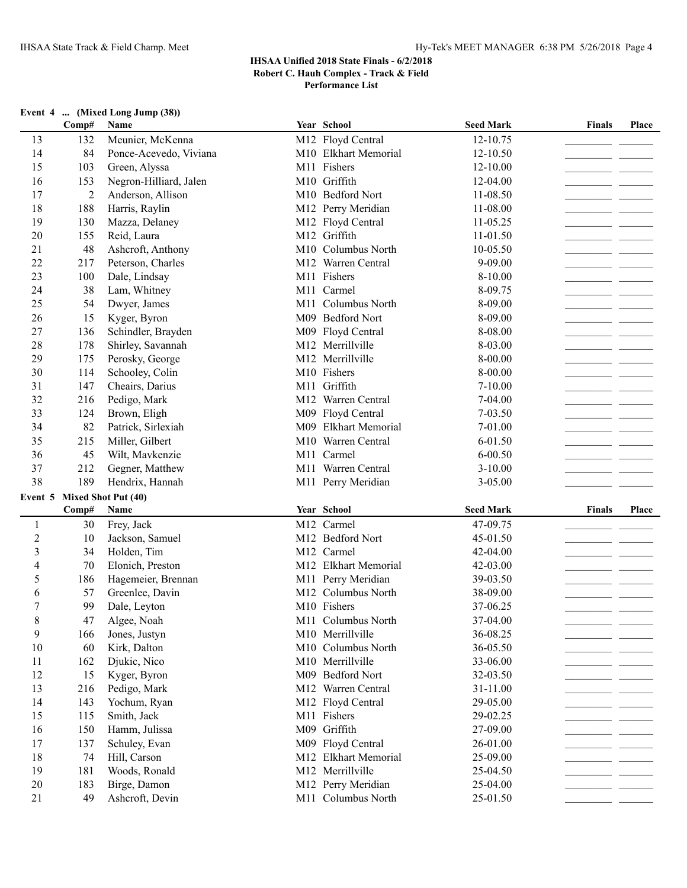# **Event 4 ... (Mixed Long Jump (38))**

|                | Comp#          | Name                                  |     | Year School          | <b>Seed Mark</b> | <b>Finals</b>                    | <b>Place</b> |
|----------------|----------------|---------------------------------------|-----|----------------------|------------------|----------------------------------|--------------|
| 13             | 132            | Meunier, McKenna                      |     | M12 Floyd Central    | 12-10.75         |                                  |              |
| 14             | 84             | Ponce-Acevedo, Viviana                |     | M10 Elkhart Memorial | 12-10.50         |                                  |              |
| 15             | 103            | Green, Alyssa                         |     | M11 Fishers          | 12-10.00         |                                  |              |
| 16             | 153            | Negron-Hilliard, Jalen                |     | M10 Griffith         | 12-04.00         |                                  |              |
| 17             | $\overline{2}$ | Anderson, Allison                     |     | M10 Bedford Nort     | 11-08.50         |                                  |              |
| 18             | 188            | Harris, Raylin                        |     | M12 Perry Meridian   | 11-08.00         |                                  |              |
| 19             | 130            | Mazza, Delaney                        |     | M12 Floyd Central    | $11-05.25$       |                                  |              |
| 20             | 155            | Reid, Laura                           |     | M12 Griffith         | 11-01.50         |                                  |              |
| 21             | 48             | Ashcroft, Anthony                     |     | M10 Columbus North   | 10-05.50         |                                  |              |
| 22             | 217            | Peterson, Charles                     |     | M12 Warren Central   | 9-09.00          |                                  |              |
| 23             | 100            | Dale, Lindsay                         |     | M11 Fishers          | 8-10.00          |                                  |              |
| 24             | 38             | Lam, Whitney                          |     | M11 Carmel           | 8-09.75          |                                  |              |
| 25             | 54             | Dwyer, James                          | M11 | Columbus North       | 8-09.00          | <b><i><u>Participate</u></i></b> |              |
| 26             | 15             | Kyger, Byron                          |     | M09 Bedford Nort     | 8-09.00          | and the control                  |              |
| 27             | 136            | Schindler, Brayden                    |     | M09 Floyd Central    | 8-08.00          | - -                              |              |
| 28             | 178            | Shirley, Savannah                     |     | M12 Merrillville     | 8-03.00          | - -                              |              |
| 29             | 175            | Perosky, George                       |     | M12 Merrillville     | 8-00.00          |                                  |              |
| 30             | 114            | Schooley, Colin                       |     | M10 Fishers          | 8-00.00          |                                  |              |
| 31             | 147            | Cheairs, Darius                       |     | M11 Griffith         | 7-10.00          |                                  |              |
| 32             | 216            | Pedigo, Mark                          |     | M12 Warren Central   | 7-04.00          | - -                              |              |
| 33             | 124            | Brown, Eligh                          |     | M09 Floyd Central    | $7 - 03.50$      | - -                              |              |
| 34             | 82             | Patrick, Sirlexiah                    |     | M09 Elkhart Memorial | 7-01.00          |                                  |              |
| 35             | 215            | Miller, Gilbert                       |     | M10 Warren Central   | $6 - 01.50$      | للمسار المسا                     |              |
| 36             | 45             | Wilt, Mavkenzie                       |     | M11 Carmel           | $6 - 00.50$      |                                  |              |
| 37             | 212            | Gegner, Matthew                       |     | M11 Warren Central   | $3 - 10.00$      | - -                              |              |
|                |                |                                       |     |                      |                  |                                  |              |
| 38             | 189            | Hendrix, Hannah                       |     | M11 Perry Meridian   | 3-05.00          |                                  |              |
|                |                |                                       |     |                      |                  |                                  |              |
|                | Comp#          | Event 5 Mixed Shot Put (40)<br>Name   |     | Year School          | <b>Seed Mark</b> | <b>Finals</b>                    | Place        |
| $\mathbf{1}$   | 30             | Frey, Jack                            |     | M12 Carmel           | 47-09.75         |                                  |              |
| $\overline{2}$ | 10             | Jackson, Samuel                       |     | M12 Bedford Nort     | 45-01.50         |                                  |              |
| $\mathfrak{Z}$ | 34             | Holden, Tim                           |     | M12 Carmel           | 42-04.00         |                                  |              |
| $\overline{4}$ | 70             | Elonich, Preston                      |     | M12 Elkhart Memorial | 42-03.00         |                                  |              |
| 5              | 186            |                                       |     | M11 Perry Meridian   | 39-03.50         |                                  |              |
| 6              | 57             | Hagemeier, Brennan<br>Greenlee, Davin |     | M12 Columbus North   | 38-09.00         |                                  |              |
| $\overline{7}$ | 99             | Dale, Leyton                          |     | M10 Fishers          | 37-06.25         |                                  |              |
| 8              | 47             | Algee, Noah                           |     | M11 Columbus North   | 37-04.00         |                                  |              |
| 9              | 166            |                                       |     | M10 Merrillville     | 36-08.25         |                                  |              |
| 10             | 60             | Jones, Justyn<br>Kirk, Dalton         |     | M10 Columbus North   | 36-05.50         |                                  |              |
| 11             | 162            | Djukic, Nico                          |     | M10 Merrillville     | 33-06.00         |                                  |              |
| 12             | 15             | Kyger, Byron                          |     | M09 Bedford Nort     | 32-03.50         |                                  |              |
| 13             | 216            | Pedigo, Mark                          |     | M12 Warren Central   | 31-11.00         |                                  |              |
| 14             | 143            | Yochum, Ryan                          |     | M12 Floyd Central    | 29-05.00         |                                  |              |
| 15             | 115            | Smith, Jack                           |     | M11 Fishers          | 29-02.25         |                                  |              |
| 16             | 150            | Hamm, Julissa                         |     | M09 Griffith         | 27-09.00         |                                  |              |
| 17             | 137            | Schuley, Evan                         |     | M09 Floyd Central    | 26-01.00         |                                  |              |
| 18             | 74             | Hill, Carson                          |     | M12 Elkhart Memorial | 25-09.00         |                                  |              |
| 19             | 181            | Woods, Ronald                         |     | M12 Merrillville     | 25-04.50         |                                  |              |
| 20             | 183            | Birge, Damon                          |     | M12 Perry Meridian   | 25-04.00         |                                  |              |